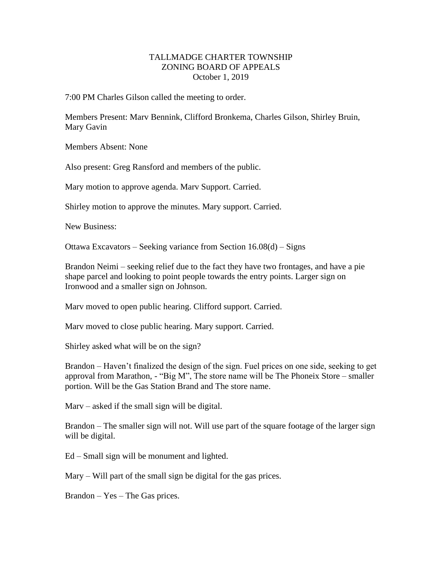## TALLMADGE CHARTER TOWNSHIP ZONING BOARD OF APPEALS October 1, 2019

7:00 PM Charles Gilson called the meeting to order.

Members Present: Marv Bennink, Clifford Bronkema, Charles Gilson, Shirley Bruin, Mary Gavin

Members Absent: None

Also present: Greg Ransford and members of the public.

Mary motion to approve agenda. Marv Support. Carried.

Shirley motion to approve the minutes. Mary support. Carried.

New Business:

Ottawa Excavators – Seeking variance from Section 16.08(d) – Signs

Brandon Neimi – seeking relief due to the fact they have two frontages, and have a pie shape parcel and looking to point people towards the entry points. Larger sign on Ironwood and a smaller sign on Johnson.

Marv moved to open public hearing. Clifford support. Carried.

Marv moved to close public hearing. Mary support. Carried.

Shirley asked what will be on the sign?

Brandon – Haven't finalized the design of the sign. Fuel prices on one side, seeking to get approval from Marathon,  $-$  "Big M", The store name will be The Phoneix Store – smaller portion. Will be the Gas Station Brand and The store name.

Marv – asked if the small sign will be digital.

Brandon – The smaller sign will not. Will use part of the square footage of the larger sign will be digital.

Ed – Small sign will be monument and lighted.

Mary – Will part of the small sign be digital for the gas prices.

Brandon – Yes – The Gas prices.